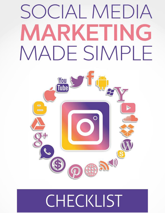## SOCIAL MEDIA MARKETING MADE SIMPI Н



## CHECKLIST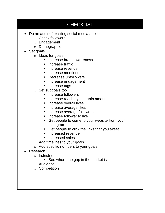## **CHECKLIST**

- Do an audit of existing social media accounts
	- o Check followers
	- o Engagement
	- o Demographic
- Set goals
	- o Ideas for goals
		- **Increase brand awareness**
		- **Increase traffic**
		- **Increase revenue**
		- **Increase mentions**
		- **Decrease unfollowers**
		- **Increase engagement**
		- Increase tags
	- o Set subgoals too
		- **Increase followers**
		- **Increase reach by a certain amount**
		- **Increase overall likes**
		- **Increase average likes**
		- **Increase average followers**
		- **Increase follower to like**
		- Get people to come to your website from your Instagram
		- Get people to click the links that you tweet
		- **Increased revenue**
		- **Increased sales**
	- o Add timelines to your goals
	- o Add specific numbers to your goals
- Research
	- o Industry
		- See where the gap in the market is
	- o Audience
	- o Competition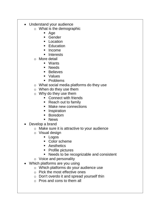- Understand your audience
	- o What is the demographic
		- Age
		- Gender
		- **Location**
		- **Education**
		- Income
		- **Interests**
	- o More detail
		- Wants
		- **Needs**
		- **Believes**
		- **values**
		- **•** Problems
	- o What social media platforms do they use
	- o When do they use them
	- o Why do they use them
		- **Connect with friends**
		- Reach out to family
		- Make new connections
		- **Inspiration**
		- **Boredom**
		- **News**
- Develop a brand
	- o Make sure it is attractive to your audience
	- o Visual design
		- Logos
		- Color scheme
		- **Aesthetics**
		- Profile pictures
		- **Needs to be recognizable and consistent**
	- o Voice and personality
- Which platforms are you using
	- o Which platforms do your audience use
	- o Pick the most effective ones
	- o Don't overdo it and spread yourself thin
	- o Pros and cons to them all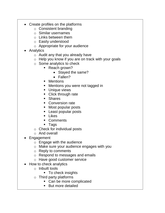- Create profiles on the platforms
	- o Consistent branding
	- o Similar usernames
	- o Links between them
	- o Easily understood
	- o Appropriate for your audience
- Analytics
	- $\circ$  Audit any that you already have
	- o Help you know if you are on track with your goals
	- o Some analytics to check
		- Reach grown?
			- Stayed the same?
			- Fallen?
		- **•** Mentions
		- **Mentions you were not tagged in**
		- **Unique views**
		- Click through rate
		- Shares
		- **Conversion rate**
		- Most popular posts
		- Least popular posts
		- **Likes**
		- **Comments**
		- Tags
	- o Check for individual posts
	- o And overall
- Engagement
	- o Engage with the audience
	- o Make sure your audience engages with you
	- o Reply to comments
	- o Respond to messages and emails
	- o Have good customer service
- How to check analytics
	- o Inbuilt tools
		- To check insights
	- $\circ$  Third party platforms
		- Can be more complicated
		- **But more detailed**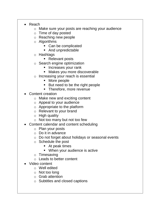- Reach
	- o Make sure your posts are reaching your audience
	- o Time of day posted
	- o Reaching new people
	- o Algorithms
		- Can be complicated
		- And unpredictable
	- o Hashtags
		- Relevant posts
	- o Search engine optimization
		- **Increases your rank**
		- Makes you more discoverable
	- o Increasing your reach is essential
		- More people
		- But need to be the right people
		- Therefore, more revenue
- Content creation
	- o Make new and exciting content
	- o Appeal to your audience
	- o Appropriate to the platform
	- o Relevant to your brand
	- $\circ$  High quality
	- o Not too many but not too few
- Content calendar and content scheduling
	- o Plan your posts
	- o Do it in advance
	- o Do not forget about holidays or seasonal events
	- o Schedule the post
		- At peak times
		- **When your audience is active**
	- o Timesaving
	- o Leads to better content
- Video content
	- o Well edited
	- o Not too long
	- $\circ$  Grab attention
	- o Subtitles and closed captions